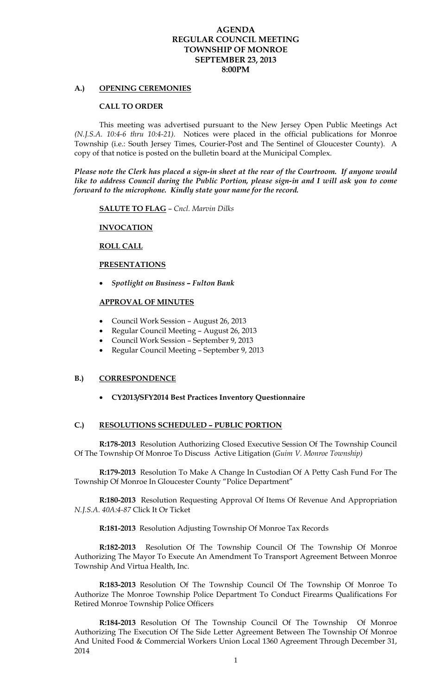### **AGENDA REGULAR COUNCIL MEETING TOWNSHIP OF MONROE SEPTEMBER 23, 2013 8:00PM**

### **A.) OPENING CEREMONIES**

#### **CALL TO ORDER**

 This meeting was advertised pursuant to the New Jersey Open Public Meetings Act *(N.J.S.A. 10:4-6 thru 10:4-21).* Notices were placed in the official publications for Monroe Township (i.e.: South Jersey Times, Courier-Post and The Sentinel of Gloucester County). A copy of that notice is posted on the bulletin board at the Municipal Complex.

*Please note the Clerk has placed a sign-in sheet at the rear of the Courtroom. If anyone would like to address Council during the Public Portion, please sign-in and I will ask you to come forward to the microphone. Kindly state your name for the record.* 

**SALUTE TO FLAG** – *Cncl. Marvin Dilks* 

### **INVOCATION**

### **ROLL CALL**

#### **PRESENTATIONS**

*Spotlight on Business – Fulton Bank* 

#### **APPROVAL OF MINUTES**

- Council Work Session August 26, 2013
- Regular Council Meeting August 26, 2013
- Council Work Session September 9, 2013
- Regular Council Meeting September 9, 2013

#### **B.) CORRESPONDENCE**

**CY2013/SFY2014 Best Practices Inventory Questionnaire** 

### **C.) RESOLUTIONS SCHEDULED – PUBLIC PORTION**

**R:178-2013** Resolution Authorizing Closed Executive Session Of The Township Council Of The Township Of Monroe To Discuss Active Litigation (*Guim V. Monroe Township)* 

**R:179-2013** Resolution To Make A Change In Custodian Of A Petty Cash Fund For The Township Of Monroe In Gloucester County "Police Department"

**R:180-2013** Resolution Requesting Approval Of Items Of Revenue And Appropriation *N.J.S.A. 40A:4-87* Click It Or Ticket

**R:181-2013** Resolution Adjusting Township Of Monroe Tax Records

**R:182-2013** Resolution Of The Township Council Of The Township Of Monroe Authorizing The Mayor To Execute An Amendment To Transport Agreement Between Monroe Township And Virtua Health, Inc.

**R:183-2013** Resolution Of The Township Council Of The Township Of Monroe To Authorize The Monroe Township Police Department To Conduct Firearms Qualifications For Retired Monroe Township Police Officers

**R:184-2013** Resolution Of The Township Council Of The Township Of Monroe Authorizing The Execution Of The Side Letter Agreement Between The Township Of Monroe And United Food & Commercial Workers Union Local 1360 Agreement Through December 31, 2014